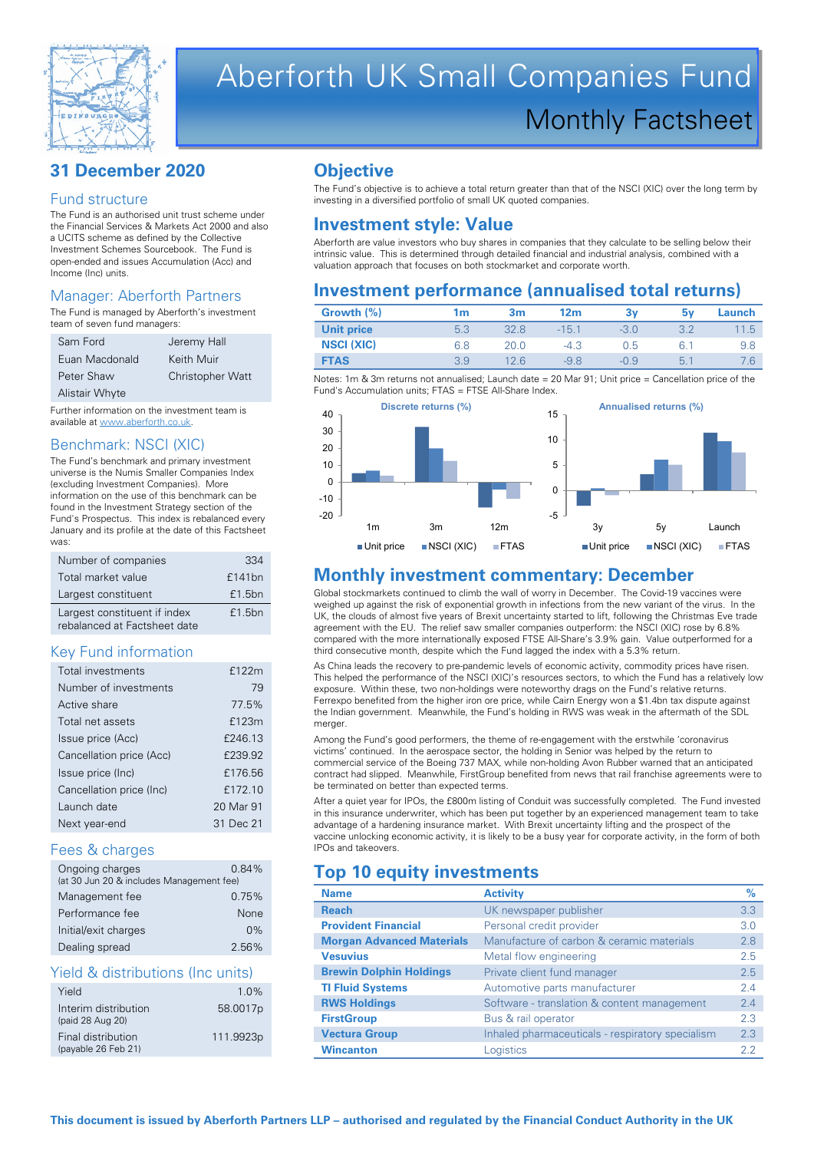

# Aberforth UK Small Companies Fund Monthly Factsheet

# **31 December 2020**

#### Fund structure

The Fund is an authorised unit trust scheme under the Financial Services & Markets Act 2000 and also a UCITS scheme as defined by the Collective Investment Schemes Sourcebook. The Fund is open-ended and issues Accumulation (Acc) and Income (Inc) units.

### Manager: Aberforth Partners

The Fund is managed by Aberforth's investment team of seven fund managers:

| Sam Ford              | Jeremy Hall             |
|-----------------------|-------------------------|
| Euan Macdonald        | Keith Muir              |
| Peter Shaw            | <b>Christopher Watt</b> |
| <b>Alistair Whyte</b> |                         |

Further information on the investment team is available at www.aberforth.co.uk.

### Benchmark: NSCI (XIC)

The Fund's benchmark and primary investment universe is the Numis Smaller Companies Index (excluding Investment Companies). More information on the use of this benchmark can be found in the Investment Strategy section of the Fund's Prospectus. This index is rebalanced every January and its profile at the date of this Factsheet was:

| Number of companies                                          | 334    |
|--------------------------------------------------------------|--------|
| Total market value                                           | £141bn |
| Largest constituent                                          | £1.5bn |
| Largest constituent if index<br>rebalanced at Factsheet date | £1.5bn |

#### Key Fund information

| Total investments        | £122m     |
|--------------------------|-----------|
| Number of investments    | 79        |
| Active share             | 77.5%     |
| Total net assets         | £123m     |
| Issue price (Acc)        | £246.13   |
| Cancellation price (Acc) | £239.92   |
| Issue price (Inc)        | £176.56   |
| Cancellation price (Inc) | £172.10   |
| Launch date              | 20 Mar 91 |
| Next year-end            | 31 Dec 21 |

#### Fees & charges

| Ongoing charges<br>(at 30 Jun 20 & includes Management fee) | 0.84% |
|-------------------------------------------------------------|-------|
| Management fee                                              | 0.75% |
| Performance fee                                             | None  |
| Initial/exit charges                                        | $0\%$ |
| Dealing spread                                              | 2.56% |

#### Yield & distributions (Inc units)

| Yield                | $1.0\%$   |
|----------------------|-----------|
| Interim distribution | 58.0017p  |
| (paid 28 Aug 20)     |           |
| Final distribution   | 111.9923p |
| (payable 26 Feb 21)  |           |

# **Objective**

The Fund's objective is to achieve a total return greater than that of the NSCI (XIC) over the long term by investing in a diversified portfolio of small UK quoted companies.

# **Investment style: Value**

Aberforth are value investors who buy shares in companies that they calculate to be selling below their intrinsic value. This is determined through detailed financial and industrial analysis, combined with a valuation approach that focuses on both stockmarket and corporate worth.

# **Investment performance (annualised total returns)**

| Growth (%)        | 1m  | 3m   | 12 <sub>m</sub> | З٧     | 5۷   | Launch |
|-------------------|-----|------|-----------------|--------|------|--------|
| <b>Unit price</b> | 5.3 |      | $-15.1$         | $-3.0$ |      | 11.5   |
| <b>NSCI (XIC)</b> | 6.8 | 20.0 | $-4.3$          | 0.5    | -6.1 | 9.8    |
| <b>FTAS</b>       | 3.9 | 12.6 | $-98$           | $-0.9$ | 5.7  |        |

Notes: 1m & 3m returns not annualised; Launch date = 20 Mar 91; Unit price = Cancellation price of the Fund's Accumulation units; FTAS = FTSE All-Share Index.



# **Monthly investment commentary: December**

Global stockmarkets continued to climb the wall of worry in December. The Covid-19 vaccines were weighed up against the risk of exponential growth in infections from the new variant of the virus. In the UK, the clouds of almost five years of Brexit uncertainty started to lift, following the Christmas Eve trade agreement with the EU. The relief saw smaller companies outperform: the NSCI (XIC) rose by 6.8% compared with the more internationally exposed FTSE All-Share's 3.9% gain. Value outperformed for a third consecutive month, despite which the Fund lagged the index with a 5.3% return.

As China leads the recovery to pre-pandemic levels of economic activity, commodity prices have risen. This helped the performance of the NSCI (XIC)'s resources sectors, to which the Fund has a relatively low exposure. Within these, two non-holdings were noteworthy drags on the Fund's relative returns. Ferrexpo benefited from the higher iron ore price, while Cairn Energy won a \$1.4bn tax dispute against the Indian government. Meanwhile, the Fund's holding in RWS was weak in the aftermath of the SDL merger.

Among the Fund's good performers, the theme of re-engagement with the erstwhile 'coronavirus victims' continued. In the aerospace sector, the holding in Senior was helped by the return to commercial service of the Boeing 737 MAX, while non-holding Avon Rubber warned that an anticipated contract had slipped. Meanwhile, FirstGroup benefited from news that rail franchise agreements were to be terminated on better than expected terms.

After a quiet year for IPOs, the £800m listing of Conduit was successfully completed. The Fund invested in this insurance underwriter, which has been put together by an experienced management team to take advantage of a hardening insurance market. With Brexit uncertainty lifting and the prospect of the vaccine unlocking economic activity, it is likely to be a busy year for corporate activity, in the form of both IPOs and takeovers.

# **Top 10 equity investments**

| <b>Name</b>                      | <b>Activity</b>                                  | $\%$ |
|----------------------------------|--------------------------------------------------|------|
| <b>Reach</b>                     | UK newspaper publisher                           | 3.3  |
| <b>Provident Financial</b>       | Personal credit provider                         | 3.0  |
| <b>Morgan Advanced Materials</b> | Manufacture of carbon & ceramic materials        | 2.8  |
| <b>Vesuvius</b>                  | Metal flow engineering                           | 2.5  |
| <b>Brewin Dolphin Holdings</b>   | Private client fund manager                      | 2.5  |
| <b>TI Fluid Systems</b>          | Automotive parts manufacturer                    | 24   |
| <b>RWS Holdings</b>              | Software - translation & content management      | 2.4  |
| <b>FirstGroup</b>                | Bus & rail operator                              | 2.3  |
| <b>Vectura Group</b>             | Inhaled pharmaceuticals - respiratory specialism | 2.3  |
| <b>Wincanton</b>                 | Logistics                                        | 2.2  |